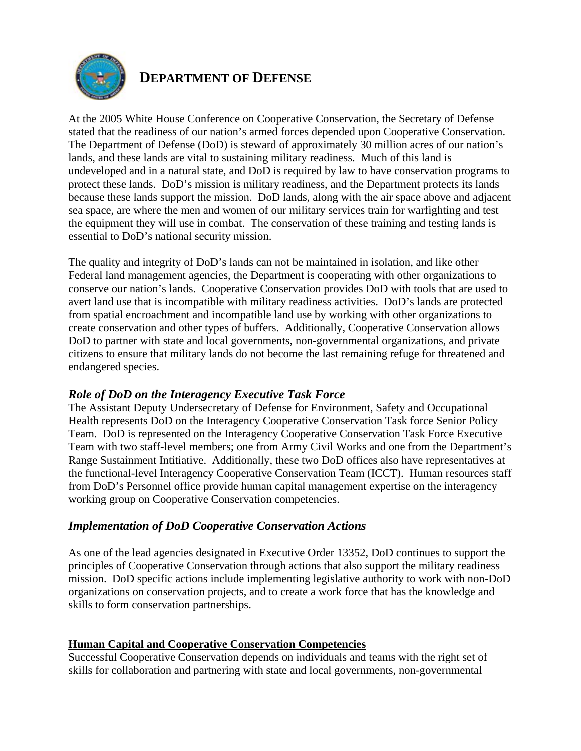

# **DEPARTMENT OF DEFENSE**

At the 2005 White House Conference on Cooperative Conservation, the Secretary of Defense stated that the readiness of our nation's armed forces depended upon Cooperative Conservation. The Department of Defense (DoD) is steward of approximately 30 million acres of our nation's lands, and these lands are vital to sustaining military readiness. Much of this land is undeveloped and in a natural state, and DoD is required by law to have conservation programs to protect these lands. DoD's mission is military readiness, and the Department protects its lands because these lands support the mission. DoD lands, along with the air space above and adjacent sea space, are where the men and women of our military services train for warfighting and test the equipment they will use in combat. The conservation of these training and testing lands is essential to DoD's national security mission.

The quality and integrity of DoD's lands can not be maintained in isolation, and like other Federal land management agencies, the Department is cooperating with other organizations to conserve our nation's lands. Cooperative Conservation provides DoD with tools that are used to avert land use that is incompatible with military readiness activities. DoD's lands are protected from spatial encroachment and incompatible land use by working with other organizations to create conservation and other types of buffers. Additionally, Cooperative Conservation allows DoD to partner with state and local governments, non-governmental organizations, and private citizens to ensure that military lands do not become the last remaining refuge for threatened and endangered species.

### *Role of DoD on the Interagency Executive Task Force*

The Assistant Deputy Undersecretary of Defense for Environment, Safety and Occupational Health represents DoD on the Interagency Cooperative Conservation Task force Senior Policy Team. DoD is represented on the Interagency Cooperative Conservation Task Force Executive Team with two staff-level members; one from Army Civil Works and one from the Department's Range Sustainment Intitiative. Additionally, these two DoD offices also have representatives at the functional-level Interagency Cooperative Conservation Team (ICCT). Human resources staff from DoD's Personnel office provide human capital management expertise on the interagency working group on Cooperative Conservation competencies.

## *Implementation of DoD Cooperative Conservation Actions*

As one of the lead agencies designated in Executive Order 13352, DoD continues to support the principles of Cooperative Conservation through actions that also support the military readiness mission. DoD specific actions include implementing legislative authority to work with non-DoD organizations on conservation projects, and to create a work force that has the knowledge and skills to form conservation partnerships.

### **Human Capital and Cooperative Conservation Competencies**

Successful Cooperative Conservation depends on individuals and teams with the right set of skills for collaboration and partnering with state and local governments, non-governmental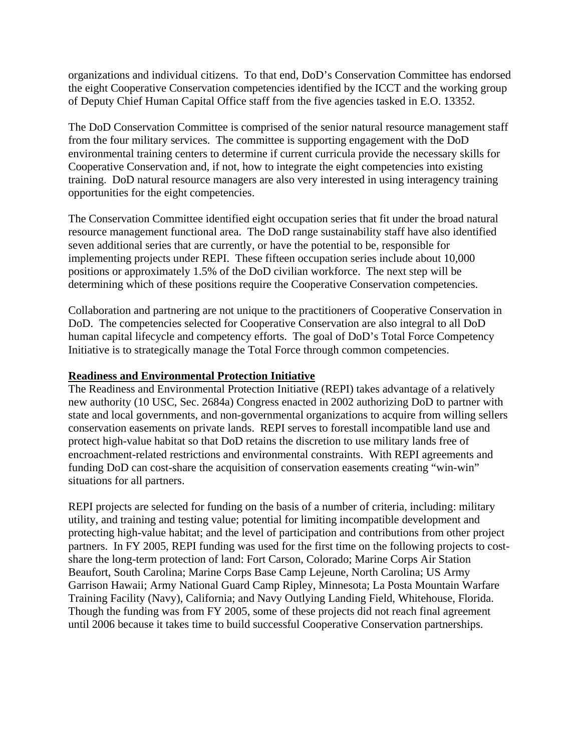organizations and individual citizens. To that end, DoD's Conservation Committee has endorsed the eight Cooperative Conservation competencies identified by the ICCT and the working group of Deputy Chief Human Capital Office staff from the five agencies tasked in E.O. 13352.

The DoD Conservation Committee is comprised of the senior natural resource management staff from the four military services. The committee is supporting engagement with the DoD environmental training centers to determine if current curricula provide the necessary skills for Cooperative Conservation and, if not, how to integrate the eight competencies into existing training. DoD natural resource managers are also very interested in using interagency training opportunities for the eight competencies.

The Conservation Committee identified eight occupation series that fit under the broad natural resource management functional area. The DoD range sustainability staff have also identified seven additional series that are currently, or have the potential to be, responsible for implementing projects under REPI. These fifteen occupation series include about 10,000 positions or approximately 1.5% of the DoD civilian workforce. The next step will be determining which of these positions require the Cooperative Conservation competencies.

Collaboration and partnering are not unique to the practitioners of Cooperative Conservation in DoD. The competencies selected for Cooperative Conservation are also integral to all DoD human capital lifecycle and competency efforts. The goal of DoD's Total Force Competency Initiative is to strategically manage the Total Force through common competencies.

### **Readiness and Environmental Protection Initiative**

The Readiness and Environmental Protection Initiative (REPI) takes advantage of a relatively new authority (10 USC, Sec. 2684a) Congress enacted in 2002 authorizing DoD to partner with state and local governments, and non-governmental organizations to acquire from willing sellers conservation easements on private lands. REPI serves to forestall incompatible land use and protect high-value habitat so that DoD retains the discretion to use military lands free of encroachment-related restrictions and environmental constraints. With REPI agreements and funding DoD can cost-share the acquisition of conservation easements creating "win-win" situations for all partners.

REPI projects are selected for funding on the basis of a number of criteria, including: military utility, and training and testing value; potential for limiting incompatible development and protecting high-value habitat; and the level of participation and contributions from other project partners. In FY 2005, REPI funding was used for the first time on the following projects to costshare the long-term protection of land: Fort Carson, Colorado; Marine Corps Air Station Beaufort, South Carolina; Marine Corps Base Camp Lejeune, North Carolina; US Army Garrison Hawaii; Army National Guard Camp Ripley, Minnesota; La Posta Mountain Warfare Training Facility (Navy), California; and Navy Outlying Landing Field, Whitehouse, Florida. Though the funding was from FY 2005, some of these projects did not reach final agreement until 2006 because it takes time to build successful Cooperative Conservation partnerships.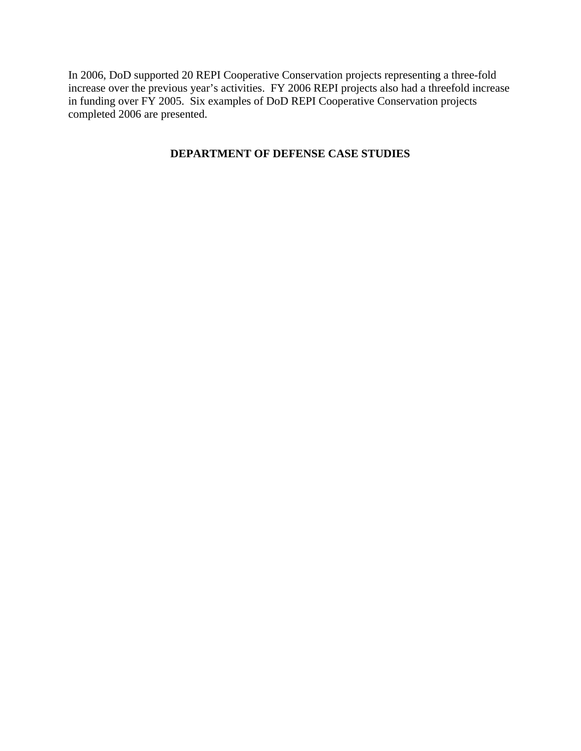In 2006, DoD supported 20 REPI Cooperative Conservation projects representing a three-fold increase over the previous year's activities. FY 2006 REPI projects also had a threefold increase in funding over FY 2005. Six examples of DoD REPI Cooperative Conservation projects completed 2006 are presented.

## **DEPARTMENT OF DEFENSE CASE STUDIES**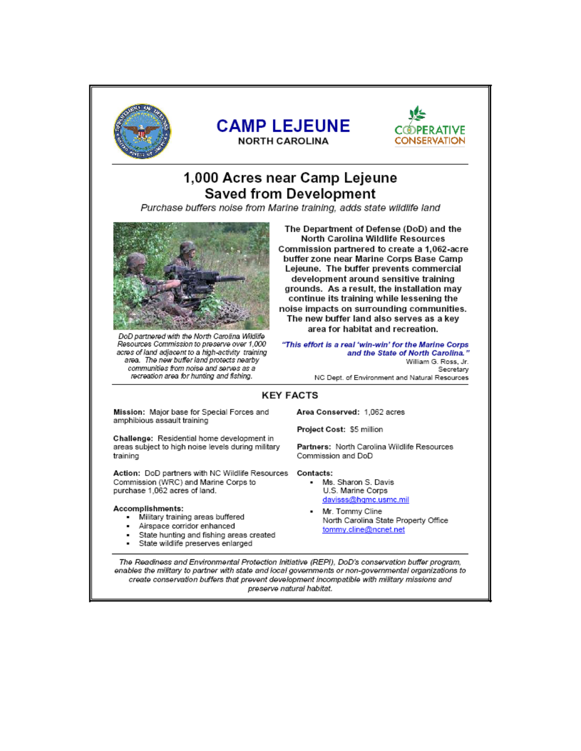

## 1,000 Acres near Camp Lejeune **Saved from Development**

Purchase buffers noise from Marine training, adds state wildlife land



DoD partnered with the North Carolina Wildlife Resources Commission to preserve over 1,000 acres of land adjacent to a high-activity training area. The new buffer land protects nearby communities from noise and serves as a recreation area for hunting and fishing.

The Department of Defense (DoD) and the North Carolina Wildlife Resources Commission partnered to create a 1,062-acre buffer zone near Marine Corps Base Camp Lejeune. The buffer prevents commercial development around sensitive training grounds. As a result, the installation may continue its training while lessening the noise impacts on surrounding communities. The new buffer land also serves as a key area for habitat and recreation.

"This effort is a real 'win-win' for the Marine Corps and the State of North Carolina." William G. Ross, Jr. Secretary

NC Dept. of Environment and Natural Resources

#### **KEY FACTS**

Mission: Major base for Special Forces and amphibious assault training

Challenge: Residential home development in areas subject to high noise levels during military training

Action: DoD partners with NC Wildlife Resources Commission (WRC) and Marine Corps to purchase 1,062 acres of land.

#### Accomplishments:

- Military training areas buffered
- Airspace corridor enhanced
- State hunting and fishing areas created
- State wildlife preserves enlarged

Area Conserved: 1,062 acres

Project Cost: \$5 million

Partners: North Carolina Wildlife Resources Commission and DoD

Contacts:

- Ms. Sharon S. Davis U.S. Marine Corps davisss@hqmc.usmc.mil
- Mr. Tommy Cline North Carolina State Property Office tommv.cline@ncnet.net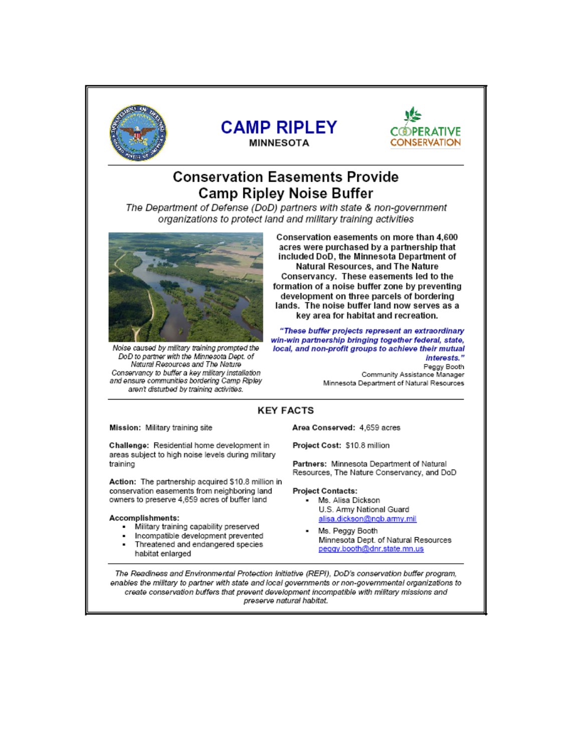





# **Conservation Easements Provide Camp Ripley Noise Buffer**

The Department of Defense (DoD) partners with state & non-government organizations to protect land and military training activities



Noise caused by military training prompted the DoD to partner with the Minnesota Dept. of Natural Resources and The Nature Conservancy to buffer a key military installation and ensure communities bordering Camp Ripley aren't disturbed by training activities.

Conservation easements on more than 4,600 acres were purchased by a partnership that included DoD, the Minnesota Department of Natural Resources, and The Nature Conservancy. These easements led to the formation of a noise buffer zone by preventing development on three parcels of bordering lands. The noise buffer land now serves as a key area for habitat and recreation.

"These buffer projects represent an extraordinary win-win partnership bringing together federal, state, local, and non-profit groups to achieve their mutual interests."

Peggy Booth Community Assistance Manager Minnesota Department of Natural Resources

### **KEY FACTS**

Mission: Military training site

Challenge: Residential home development in areas subject to high noise levels during military training

Action: The partnership acquired \$10.8 million in conservation easements from neighboring land owners to preserve 4,659 acres of buffer land

#### Accomplishments:

- Military training capability preserved
- Incompatible development prevented
- Threatened and endangered species
- habitat enlarged

Area Conserved: 4,659 acres

Project Cost: \$10.8 million

Partners: Minnesota Department of Natural Resources, The Nature Conservancy, and DoD

#### **Project Contacts:**

- Ms. Alisa Dickson U.S. Army National Guard alisa.dickson@ngb.army.mil
- Ms. Peggy Booth Minnesota Dept. of Natural Resources peggy.booth@dnr.state.mn.us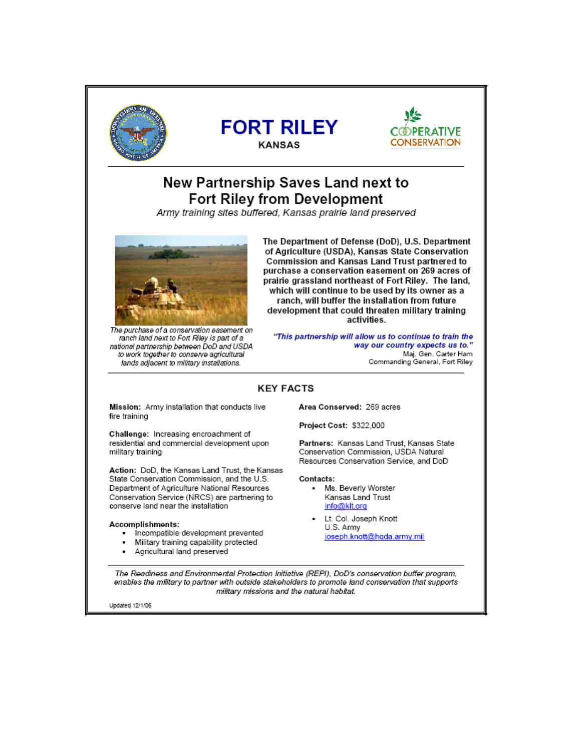

## New Partnership Saves Land next to **Fort Riley from Development**

Army training sites buffered. Kansas prairie land preserved



The purchase of a conservation easement on ranch land next to Fort Riley is part of a national partnership between DoD and USDA to work together to conserve agricultural lands adjacent to military installations.

The Department of Defense (DoD), U.S. Department of Agriculture (USDA), Kansas State Conservation Commission and Kansas Land Trust partnered to purchase a conservation easement on 269 acres of prairie grassland northeast of Fort Riley. The land, which will continue to be used by its owner as a ranch, will buffer the installation from future development that could threaten military training activities.

"This partnership will allow us to continue to train the way our country expects us to.' Maj. Gen. Carter Ham Commanding General, Fort Riley

### **KEY FACTS**

Mission: Army installation that conducts live fire training

Challenge: Increasing encroachment of residential and commercial development upon military training

Action: DoD, the Kansas Land Trust, the Kansas State Conservation Commission, and the U.S. Department of Agriculture National Resources Conservation Service (NRCS) are partnering to conserve land near the installation

#### Accomplishments:

- Incompatible development prevented
- Military training capability protected
- Agricultural land preserved

Area Conserved: 269 acres

Project Cost: \$322,000

Partners: Kansas Land Trust, Kansas State Conservation Commission, USDA Natural Resources Conservation Service, and DoD

Contacts:

- Ms. Beverly Worster Kansas Land Trust info@klt.org
- Lt. Col. Joseph Knott U.S. Army joseph.knott@hqda.army.mil

The Readiness and Environmental Protection Initiative (REPI), DoD's conservation buffer program, enables the military to partner with outside stakeholders to promote land conservation that supports military missions and the natural habitat.

Updated 12/1/06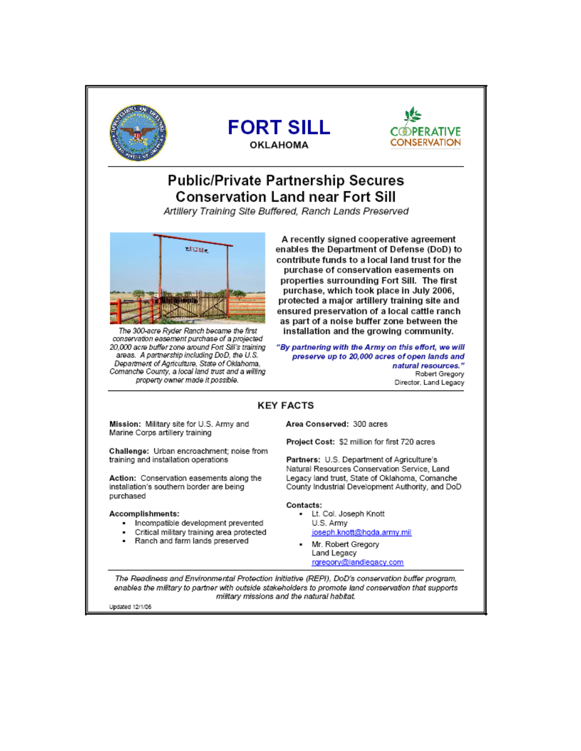





# **Public/Private Partnership Secures Conservation Land near Fort Sill**

Artillery Training Site Buffered, Ranch Lands Preserved



The 300-acre Ryder Ranch became the first conservation easement purchase of a projected 20,000 acre buffer zone around Fort Sill's training areas. A partnership including DoD, the U.S. Department of Agriculture, State of Oklahoma. Comanche County, a local land trust and a willing property owner made it possible.

A recently signed cooperative agreement enables the Department of Defense (DoD) to contribute funds to a local land trust for the purchase of conservation easements on properties surrounding Fort Sill. The first purchase, which took place in July 2006, protected a major artillery training site and ensured preservation of a local cattle ranch as part of a noise buffer zone between the installation and the growing community.

"By partnering with the Army on this effort, we will preserve up to 20,000 acres of open lands and natural resources." Robert Gregory Director, Land Legacy

### **KEY FACTS**

Mission: Military site for U.S. Army and Marine Corps artillery training

Challenge: Urban encroachment: noise from training and installation operations

Action: Conservation easements along the installation's southern border are being purchased

#### Accomplishments:

- Incompatible development prevented
- Critical military training area protected
- Ranch and farm lands preserved

Area Conserved: 300 acres

Project Cost: \$2 million for first 720 acres

Partners: U.S. Department of Agriculture's Natural Resources Conservation Service, Land Legacy land trust, State of Oklahoma, Comanche County Industrial Development Authority, and DoD

#### Contacts:

- Lt. Col. Joseph Knott U.S. Army joseph.knott@hqda.army.mil
- Mr. Robert Gregory Land Legacy rgregory@landlegacy.com

The Readiness and Environmental Protection Initiative (REPI), DoD's conservation buffer program, enables the military to partner with outside stakeholders to promote land conservation that supports military missions and the natural habitat.

Updated 12/1/06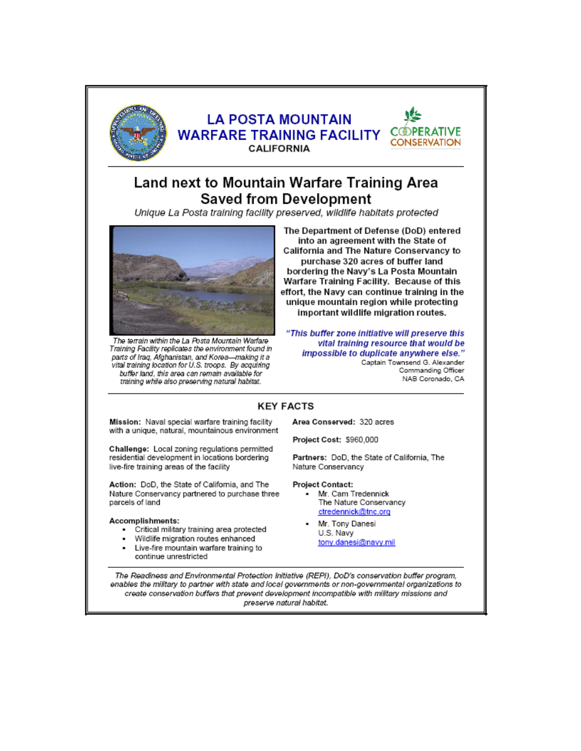

## **LA POSTA MOUNTAIN WARFARE TRAINING FACILITY CALIFORNIA**



# Land next to Mountain Warfare Training Area **Saved from Development**

Unique La Posta training facility preserved, wildlife habitats protected



The terrain within the La Posta Mountain Warfare Training Facility replicates the environment found in parts of Iraq, Afghanistan, and Korea-making it a vital training location for U.S. troops. By acquiring buffer land, this area can remain available for training while also preserving natural habitat.

The Department of Defense (DoD) entered into an agreement with the State of California and The Nature Conservancy to purchase 320 acres of buffer land bordering the Navy's La Posta Mountain Warfare Training Facility. Because of this effort, the Navy can continue training in the unique mountain region while protecting important wildlife migration routes.

"This buffer zone initiative will preserve this vital training resource that would be impossible to duplicate anywhere else." Captain Townsend G. Alexander Commanding Officer NAB Coronado, CA

## **KEY FACTS**

Mission: Naval special warfare training facility with a unique, natural, mountainous environment

Challenge: Local zoning regulations permitted residential development in locations bordering live-fire training areas of the facility

Action: DoD, the State of California, and The Nature Conservancy partnered to purchase three parcels of land

#### Accomplishments:

- Critical military training area protected
- Wildlife migration routes enhanced
- Live-fire mountain warfare training to continue unrestricted

Area Conserved: 320 acres

Project Cost: \$960,000

Partners: DoD, the State of California, The Nature Conservancy

**Project Contact:** 

- Mr. Cam Tredennick The Nature Conservancy ctredennick@tnc.org
- Mr. Tony Danesi U.S. Navy tony.danesi@navy.mil